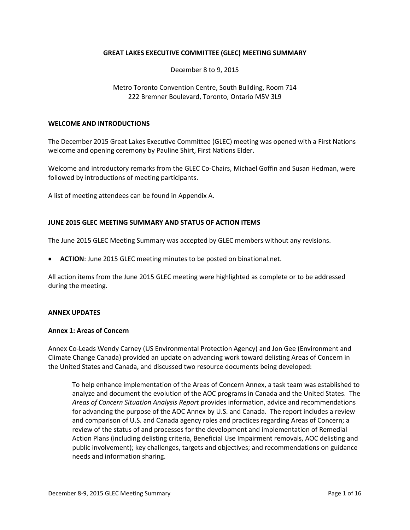## **GREAT LAKES EXECUTIVE COMMITTEE (GLEC) MEETING SUMMARY**

December 8 to 9, 2015

## Metro Toronto Convention Centre, South Building, Room 714 222 Bremner Boulevard, Toronto, Ontario M5V 3L9

#### **WELCOME AND INTRODUCTIONS**

The December 2015 Great Lakes Executive Committee (GLEC) meeting was opened with a First Nations welcome and opening ceremony by Pauline Shirt, First Nations Elder.

Welcome and introductory remarks from the GLEC Co-Chairs, Michael Goffin and Susan Hedman, were followed by introductions of meeting participants.

A list of meeting attendees can be found in Appendix A.

## **JUNE 2015 GLEC MEETING SUMMARY AND STATUS OF ACTION ITEMS**

The June 2015 GLEC Meeting Summary was accepted by GLEC members without any revisions.

• **ACTION**: June 2015 GLEC meeting minutes to be posted on binational.net.

All action items from the June 2015 GLEC meeting were highlighted as complete or to be addressed during the meeting.

#### **ANNEX UPDATES**

#### **Annex 1: Areas of Concern**

Annex Co-Leads Wendy Carney (US Environmental Protection Agency) and Jon Gee (Environment and Climate Change Canada) provided an update on advancing work toward delisting Areas of Concern in the United States and Canada, and discussed two resource documents being developed:

To help enhance implementation of the Areas of Concern Annex, a task team was established to analyze and document the evolution of the AOC programs in Canada and the United States. The *Areas of Concern Situation Analysis Report* provides information, advice and recommendations for advancing the purpose of the AOC Annex by U.S. and Canada. The report includes a review and comparison of U.S. and Canada agency roles and practices regarding Areas of Concern; a review of the status of and processes for the development and implementation of Remedial Action Plans (including delisting criteria, Beneficial Use Impairment removals, AOC delisting and public involvement); key challenges, targets and objectives; and recommendations on guidance needs and information sharing.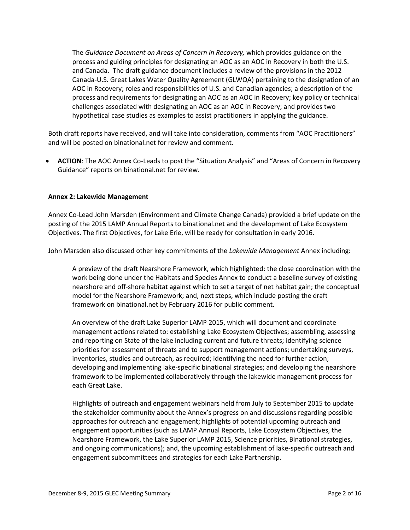The *Guidance Document on Areas of Concern in Recovery,* which provides guidance on the process and guiding principles for designating an AOC as an AOC in Recovery in both the U.S. and Canada. The draft guidance document includes a review of the provisions in the 2012 Canada-U.S. Great Lakes Water Quality Agreement (GLWQA) pertaining to the designation of an AOC in Recovery; roles and responsibilities of U.S. and Canadian agencies; a description of the process and requirements for designating an AOC as an AOC in Recovery; key policy or technical challenges associated with designating an AOC as an AOC in Recovery; and provides two hypothetical case studies as examples to assist practitioners in applying the guidance.

Both draft reports have received, and will take into consideration, comments from "AOC Practitioners" and will be posted on binational.net for review and comment.

• **ACTION**: The AOC Annex Co-Leads to post the "Situation Analysis" and "Areas of Concern in Recovery Guidance" reports on binational.net for review.

## **Annex 2: Lakewide Management**

Annex Co-Lead John Marsden (Environment and Climate Change Canada) provided a brief update on the posting of the 2015 LAMP Annual Reports to binational.net and the development of Lake Ecosystem Objectives. The first Objectives, for Lake Erie, will be ready for consultation in early 2016.

John Marsden also discussed other key commitments of the *Lakewide Management* Annex including:

A preview of the draft Nearshore Framework, which highlighted: the close coordination with the work being done under the Habitats and Species Annex to conduct a baseline survey of existing nearshore and off-shore habitat against which to set a target of net habitat gain; the conceptual model for the Nearshore Framework; and, next steps, which include posting the draft framework on binational.net by February 2016 for public comment.

An overview of the draft Lake Superior LAMP 2015, which will document and coordinate management actions related to: establishing Lake Ecosystem Objectives; assembling, assessing and reporting on State of the lake including current and future threats; identifying science priorities for assessment of threats and to support management actions; undertaking surveys, inventories, studies and outreach, as required; identifying the need for further action; developing and implementing lake-specific binational strategies; and developing the nearshore framework to be implemented collaboratively through the lakewide management process for each Great Lake.

Highlights of outreach and engagement webinars held from July to September 2015 to update the stakeholder community about the Annex's progress on and discussions regarding possible approaches for outreach and engagement; highlights of potential upcoming outreach and engagement opportunities (such as LAMP Annual Reports, Lake Ecosystem Objectives, the Nearshore Framework, the Lake Superior LAMP 2015, Science priorities, Binational strategies, and ongoing communications); and, the upcoming establishment of lake-specific outreach and engagement subcommittees and strategies for each Lake Partnership.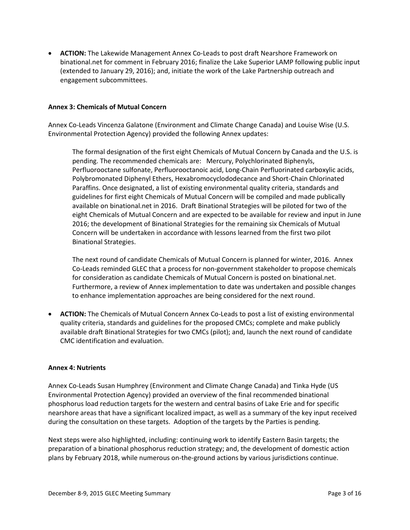• **ACTION:** The Lakewide Management Annex Co-Leads to post draft Nearshore Framework on binational.net for comment in February 2016; finalize the Lake Superior LAMP following public input (extended to January 29, 2016); and, initiate the work of the Lake Partnership outreach and engagement subcommittees.

## **Annex 3: Chemicals of Mutual Concern**

Annex Co-Leads Vincenza Galatone (Environment and Climate Change Canada) and Louise Wise (U.S. Environmental Protection Agency) provided the following Annex updates:

The formal designation of the first eight Chemicals of Mutual Concern by Canada and the U.S. is pending. The recommended chemicals are: Mercury, Polychlorinated Biphenyls, Perfluorooctane sulfonate, Perfluorooctanoic acid, Long-Chain Perfluorinated carboxylic acids, Polybromonated Diphenyl Ethers, Hexabromocyclododecance and Short-Chain Chlorinated Paraffins. Once designated, a list of existing environmental quality criteria, standards and guidelines for first eight Chemicals of Mutual Concern will be compiled and made publically available on binational.net in 2016. Draft Binational Strategies will be piloted for two of the eight Chemicals of Mutual Concern and are expected to be available for review and input in June 2016; the development of Binational Strategies for the remaining six Chemicals of Mutual Concern will be undertaken in accordance with lessons learned from the first two pilot Binational Strategies.

The next round of candidate Chemicals of Mutual Concern is planned for winter, 2016. Annex Co-Leads reminded GLEC that a process for non-government stakeholder to propose chemicals for consideration as candidate Chemicals of Mutual Concern is posted on binational.net. Furthermore, a review of Annex implementation to date was undertaken and possible changes to enhance implementation approaches are being considered for the next round.

• **ACTION:** The Chemicals of Mutual Concern Annex Co-Leads to post a list of existing environmental quality criteria, standards and guidelines for the proposed CMCs; complete and make publicly available draft Binational Strategies for two CMCs (pilot); and, launch the next round of candidate CMC identification and evaluation.

#### **Annex 4: Nutrients**

Annex Co-Leads Susan Humphrey (Environment and Climate Change Canada) and Tinka Hyde (US Environmental Protection Agency) provided an overview of the final recommended binational phosphorus load reduction targets for the western and central basins of Lake Erie and for specific nearshore areas that have a significant localized impact, as well as a summary of the key input received during the consultation on these targets. Adoption of the targets by the Parties is pending.

Next steps were also highlighted, including: continuing work to identify Eastern Basin targets; the preparation of a binational phosphorus reduction strategy; and, the development of domestic action plans by February 2018, while numerous on-the-ground actions by various jurisdictions continue.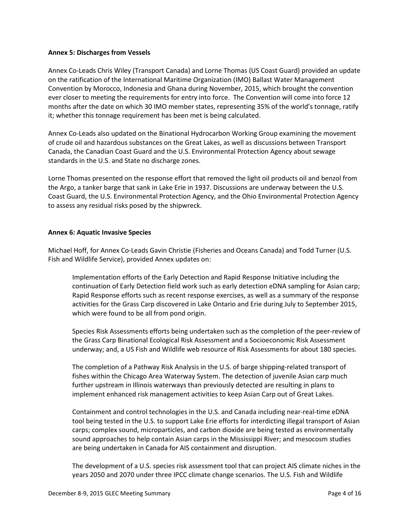### **Annex 5: Discharges from Vessels**

Annex Co-Leads Chris Wiley (Transport Canada) and Lorne Thomas (US Coast Guard) provided an update on the ratification of the International Maritime Organization (IMO) Ballast Water Management Convention by Morocco, Indonesia and Ghana during November, 2015, which brought the convention ever closer to meeting the requirements for entry into force. The Convention will come into force 12 months after the date on which 30 IMO member states, representing 35% of the world's tonnage, ratify it; whether this tonnage requirement has been met is being calculated.

Annex Co-Leads also updated on the Binational Hydrocarbon Working Group examining the movement of crude oil and hazardous substances on the Great Lakes, as well as discussions between Transport Canada, the Canadian Coast Guard and the U.S. Environmental Protection Agency about sewage standards in the U.S. and State no discharge zones.

Lorne Thomas presented on the response effort that removed the light oil products oil and benzol from the Argo, a tanker barge that sank in Lake Erie in 1937. Discussions are underway between the U.S. Coast Guard, the U.S. Environmental Protection Agency, and the Ohio Environmental Protection Agency to assess any residual risks posed by the shipwreck.

## **Annex 6: Aquatic Invasive Species**

Michael Hoff, for Annex Co-Leads Gavin Christie (Fisheries and Oceans Canada) and Todd Turner (U.S. Fish and Wildlife Service), provided Annex updates on:

Implementation efforts of the Early Detection and Rapid Response Initiative including the continuation of Early Detection field work such as early detection eDNA sampling for Asian carp; Rapid Response efforts such as recent response exercises, as well as a summary of the response activities for the Grass Carp discovered in Lake Ontario and Erie during July to September 2015, which were found to be all from pond origin.

Species Risk Assessments efforts being undertaken such as the completion of the peer-review of the Grass Carp Binational Ecological Risk Assessment and a Socioeconomic Risk Assessment underway; and, a US Fish and Wildlife web resource of Risk Assessments for about 180 species.

The completion of a Pathway Risk Analysis in the U.S. of barge shipping-related transport of fishes within the Chicago Area Waterway System. The detection of juvenile Asian carp much further upstream in Illinois waterways than previously detected are resulting in plans to implement enhanced risk management activities to keep Asian Carp out of Great Lakes.

Containment and control technologies in the U.S. and Canada including near-real-time eDNA tool being tested in the U.S. to support Lake Erie efforts for interdicting illegal transport of Asian carps; complex sound, microparticles, and carbon dioxide are being tested as environmentally sound approaches to help contain Asian carps in the Mississippi River; and mesocosm studies are being undertaken in Canada for AIS containment and disruption.

The development of a U.S. species risk assessment tool that can project AIS climate niches in the years 2050 and 2070 under three IPCC climate change scenarios. The U.S. Fish and Wildlife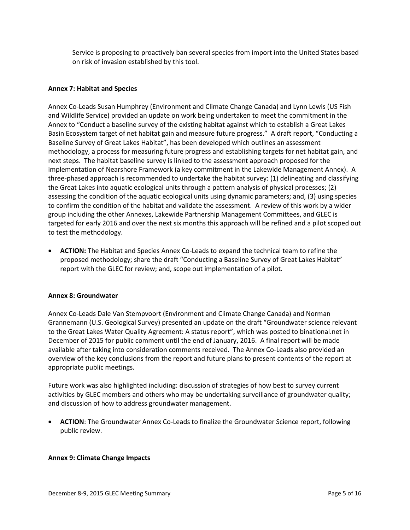Service is proposing to proactively ban several species from import into the United States based on risk of invasion established by this tool.

## **Annex 7: Habitat and Species**

Annex Co-Leads Susan Humphrey (Environment and Climate Change Canada) and Lynn Lewis (US Fish and Wildlife Service) provided an update on work being undertaken to meet the commitment in the Annex to "Conduct a baseline survey of the existing habitat against which to establish a Great Lakes Basin Ecosystem target of net habitat gain and measure future progress." A draft report, "Conducting a Baseline Survey of Great Lakes Habitat", has been developed which outlines an assessment methodology, a process for measuring future progress and establishing targets for net habitat gain, and next steps. The habitat baseline survey is linked to the assessment approach proposed for the implementation of Nearshore Framework (a key commitment in the Lakewide Management Annex). A three-phased approach is recommended to undertake the habitat survey: (1) delineating and classifying the Great Lakes into aquatic ecological units through a pattern analysis of physical processes; (2) assessing the condition of the aquatic ecological units using dynamic parameters; and, (3) using species to confirm the condition of the habitat and validate the assessment. A review of this work by a wider group including the other Annexes, Lakewide Partnership Management Committees, and GLEC is targeted for early 2016 and over the next six months this approach will be refined and a pilot scoped out to test the methodology.

• **ACTION:** The Habitat and Species Annex Co-Leads to expand the technical team to refine the proposed methodology; share the draft "Conducting a Baseline Survey of Great Lakes Habitat" report with the GLEC for review; and, scope out implementation of a pilot.

#### **Annex 8: Groundwater**

Annex Co-Leads Dale Van Stempvoort (Environment and Climate Change Canada) and Norman Grannemann (U.S. Geological Survey) presented an update on the draft "Groundwater science relevant to the Great Lakes Water Quality Agreement: A status report", which was posted to binational.net in December of 2015 for public comment until the end of January, 2016. A final report will be made available after taking into consideration comments received. The Annex Co-Leads also provided an overview of the key conclusions from the report and future plans to present contents of the report at appropriate public meetings.

Future work was also highlighted including: discussion of strategies of how best to survey current activities by GLEC members and others who may be undertaking surveillance of groundwater quality; and discussion of how to address groundwater management.

• **ACTION**: The Groundwater Annex Co-Leads to finalize the Groundwater Science report, following public review.

#### **Annex 9: Climate Change Impacts**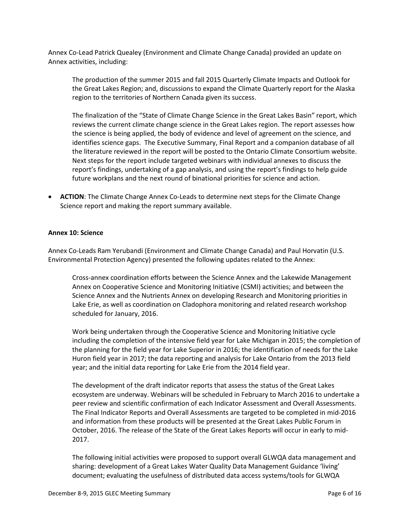Annex Co-Lead Patrick Quealey (Environment and Climate Change Canada) provided an update on Annex activities, including:

The production of the summer 2015 and fall 2015 Quarterly Climate Impacts and Outlook for the Great Lakes Region; and, discussions to expand the Climate Quarterly report for the Alaska region to the territories of Northern Canada given its success.

The finalization of the "State of Climate Change Science in the Great Lakes Basin" report, which reviews the current climate change science in the Great Lakes region. The report assesses how the science is being applied, the body of evidence and level of agreement on the science, and identifies science gaps. The Executive Summary, Final Report and a companion database of all the literature reviewed in the report will be posted to the Ontario Climate Consortium website. Next steps for the report include targeted webinars with individual annexes to discuss the report's findings, undertaking of a gap analysis, and using the report's findings to help guide future workplans and the next round of binational priorities for science and action.

• **ACTION**: The Climate Change Annex Co-Leads to determine next steps for the Climate Change Science report and making the report summary available.

#### **Annex 10: Science**

Annex Co-Leads Ram Yerubandi (Environment and Climate Change Canada) and Paul Horvatin (U.S. Environmental Protection Agency) presented the following updates related to the Annex:

Cross-annex coordination efforts between the Science Annex and the Lakewide Management Annex on Cooperative Science and Monitoring Initiative (CSMI) activities; and between the Science Annex and the Nutrients Annex on developing Research and Monitoring priorities in Lake Erie, as well as coordination on Cladophora monitoring and related research workshop scheduled for January, 2016.

Work being undertaken through the Cooperative Science and Monitoring Initiative cycle including the completion of the intensive field year for Lake Michigan in 2015; the completion of the planning for the field year for Lake Superior in 2016; the identification of needs for the Lake Huron field year in 2017; the data reporting and analysis for Lake Ontario from the 2013 field year; and the initial data reporting for Lake Erie from the 2014 field year.

The development of the draft indicator reports that assess the status of the Great Lakes ecosystem are underway. Webinars will be scheduled in February to March 2016 to undertake a peer review and scientific confirmation of each Indicator Assessment and Overall Assessments. The Final Indicator Reports and Overall Assessments are targeted to be completed in mid-2016 and information from these products will be presented at the Great Lakes Public Forum in October, 2016. The release of the State of the Great Lakes Reports will occur in early to mid-2017.

The following initial activities were proposed to support overall GLWQA data management and sharing: development of a Great Lakes Water Quality Data Management Guidance 'living' document; evaluating the usefulness of distributed data access systems/tools for GLWQA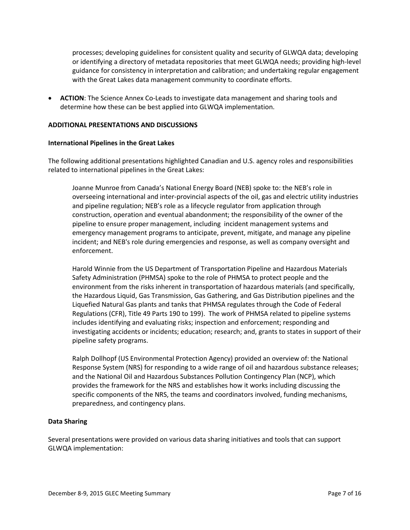processes; developing guidelines for consistent quality and security of GLWQA data; developing or identifying a directory of metadata repositories that meet GLWQA needs; providing high-level guidance for consistency in interpretation and calibration; and undertaking regular engagement with the Great Lakes data management community to coordinate efforts.

• **ACTION**: The Science Annex Co-Leads to investigate data management and sharing tools and determine how these can be best applied into GLWQA implementation.

## **ADDITIONAL PRESENTATIONS AND DISCUSSIONS**

#### **International Pipelines in the Great Lakes**

The following additional presentations highlighted Canadian and U.S. agency roles and responsibilities related to international pipelines in the Great Lakes:

Joanne Munroe from Canada's National Energy Board (NEB) spoke to: the NEB's role in overseeing international and inter-provincial aspects of the oil, gas and electric utility industries and pipeline regulation; NEB's role as a lifecycle regulator from application through construction, operation and eventual abandonment; the responsibility of the owner of the pipeline to ensure proper management, including incident management systems and emergency management programs to anticipate, prevent, mitigate, and manage any pipeline incident; and NEB's role during emergencies and response, as well as company oversight and enforcement.

Harold Winnie from the US Department of Transportation Pipeline and Hazardous Materials Safety Administration (PHMSA) spoke to the role of PHMSA to protect people and the environment from the risks inherent in transportation of hazardous materials (and specifically, the Hazardous Liquid, Gas Transmission, Gas Gathering, and Gas Distribution pipelines and the Liquefied Natural Gas plants and tanks that PHMSA regulates through the Code of Federal Regulations (CFR), Title 49 Parts 190 to 199). The work of PHMSA related to pipeline systems includes identifying and evaluating risks; inspection and enforcement; responding and investigating accidents or incidents; education; research; and, grants to states in support of their pipeline safety programs.

Ralph Dollhopf (US Environmental Protection Agency) provided an overview of: the National Response System (NRS) for responding to a wide range of oil and hazardous substance releases; and the National Oil and Hazardous Substances Pollution Contingency Plan (NCP), which provides the framework for the NRS and establishes how it works including discussing the specific components of the NRS, the teams and coordinators involved, funding mechanisms, preparedness, and contingency plans.

#### **Data Sharing**

Several presentations were provided on various data sharing initiatives and tools that can support GLWQA implementation: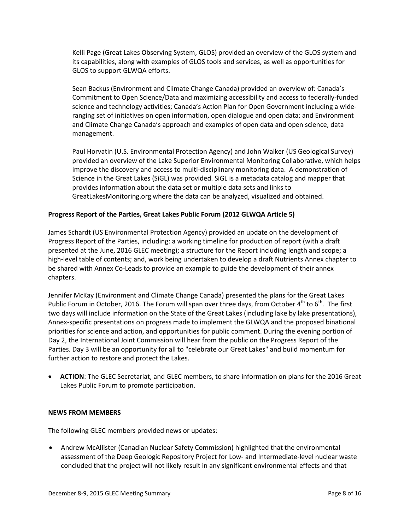Kelli Page (Great Lakes Observing System, GLOS) provided an overview of the GLOS system and its capabilities, along with examples of GLOS tools and services, as well as opportunities for GLOS to support GLWQA efforts.

Sean Backus (Environment and Climate Change Canada) provided an overview of: Canada's Commitment to Open Science/Data and maximizing accessibility and access to federally-funded science and technology activities; Canada's Action Plan for Open Government including a wideranging set of initiatives on open information, open dialogue and open data; and Environment and Climate Change Canada's approach and examples of open data and open science, data management.

Paul Horvatin (U.S. Environmental Protection Agency) and John Walker (US Geological Survey) provided an overview of the Lake Superior Environmental Monitoring Collaborative, which helps improve the discovery and access to multi-disciplinary monitoring data. A demonstration of Science in the Great Lakes (SiGL) was provided. SiGL is a metadata catalog and mapper that provides information about the data set or multiple data sets and links to GreatLakesMonitoring.org where the data can be analyzed, visualized and obtained.

## **Progress Report of the Parties, Great Lakes Public Forum (2012 GLWQA Article 5)**

James Schardt (US Environmental Protection Agency) provided an update on the development of Progress Report of the Parties, including: a working timeline for production of report (with a draft presented at the June, 2016 GLEC meeting); a structure for the Report including length and scope; a high-level table of contents; and, work being undertaken to develop a draft Nutrients Annex chapter to be shared with Annex Co-Leads to provide an example to guide the development of their annex chapters.

Jennifer McKay (Environment and Climate Change Canada) presented the plans for the Great Lakes Public Forum in October, 2016. The Forum will span over three days, from October  $4^{th}$  to  $6^{th}$ . The first two days will include information on the State of the Great Lakes (including lake by lake presentations), Annex-specific presentations on progress made to implement the GLWQA and the proposed binational priorities for science and action, and opportunities for public comment. During the evening portion of Day 2, the International Joint Commission will hear from the public on the Progress Report of the Parties. Day 3 will be an opportunity for all to "celebrate our Great Lakes" and build momentum for further action to restore and protect the Lakes.

• **ACTION**: The GLEC Secretariat, and GLEC members, to share information on plans for the 2016 Great Lakes Public Forum to promote participation.

#### **NEWS FROM MEMBERS**

The following GLEC members provided news or updates:

• Andrew McAllister (Canadian Nuclear Safety Commission) highlighted that the environmental assessment of the Deep Geologic Repository Project for Low- and Intermediate-level nuclear waste concluded that the project will not likely result in any significant environmental effects and that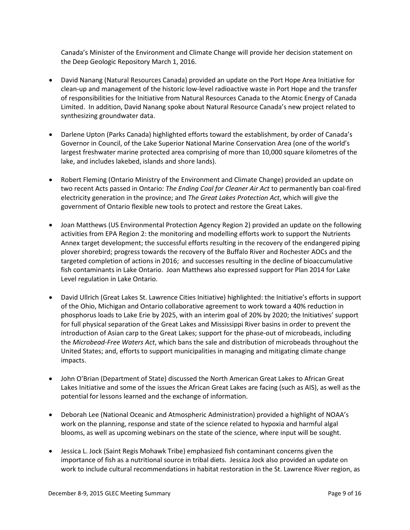Canada's Minister of the Environment and Climate Change will provide her decision statement on the Deep Geologic Repository March 1, 2016.

- David Nanang (Natural Resources Canada) provided an update on the Port Hope Area Initiative for clean-up and management of the historic low-level radioactive waste in Port Hope and the transfer of responsibilities for the Initiative from Natural Resources Canada to the Atomic Energy of Canada Limited. In addition, David Nanang spoke about Natural Resource Canada's new project related to synthesizing groundwater data.
- Darlene Upton (Parks Canada) highlighted efforts toward the establishment, by order of Canada's Governor in Council, of the Lake Superior National Marine Conservation Area (one of the world's largest freshwater marine protected area comprising of more than 10,000 square kilometres of the lake, and includes lakebed, islands and shore lands).
- Robert Fleming (Ontario Ministry of the Environment and Climate Change) provided an update on two recent Acts passed in Ontario: *The Ending Coal for Cleaner Air Act* to permanently ban coal-fired electricity generation in the province; and *The Great Lakes Protection Act*, which will give the government of Ontario flexible new tools to protect and restore the Great Lakes.
- Joan Matthews (US Environmental Protection Agency Region 2) provided an update on the following activities from EPA Region 2: the monitoring and modelling efforts work to support the Nutrients Annex target development; the successful efforts resulting in the recovery of the endangered piping plover shorebird; progress towards the recovery of the Buffalo River and Rochester AOCs and the targeted completion of actions in 2016; and successes resulting in the decline of bioaccumulative fish contaminants in Lake Ontario. Joan Matthews also expressed support for Plan 2014 for Lake Level regulation in Lake Ontario.
- David Ullrich (Great Lakes St. Lawrence Cities Initiative) highlighted: the Initiative's efforts in support of the Ohio, Michigan and Ontario collaborative agreement to work toward a 40% reduction in phosphorus loads to Lake Erie by 2025, with an interim goal of 20% by 2020; the Initiatives' support for full physical separation of the Great Lakes and Mississippi River basins in order to prevent the introduction of Asian carp to the Great Lakes; support for the phase-out of microbeads, including the *Microbead-Free Waters Act*, which bans the sale and distribution of microbeads throughout the United States; and, efforts to support municipalities in managing and mitigating climate change impacts.
- John O'Brian (Department of State) discussed the North American Great Lakes to African Great Lakes Initiative and some of the issues the African Great Lakes are facing (such as AIS), as well as the potential for lessons learned and the exchange of information.
- Deborah Lee (National Oceanic and Atmospheric Administration) provided a highlight of NOAA's work on the planning, response and state of the science related to hypoxia and harmful algal blooms, as well as upcoming webinars on the state of the science, where input will be sought.
- Jessica L. Jock (Saint Regis Mohawk Tribe) emphasized fish contaminant concerns given the importance of fish as a nutritional source in tribal diets. Jessica Jock also provided an update on work to include cultural recommendations in habitat restoration in the St. Lawrence River region, as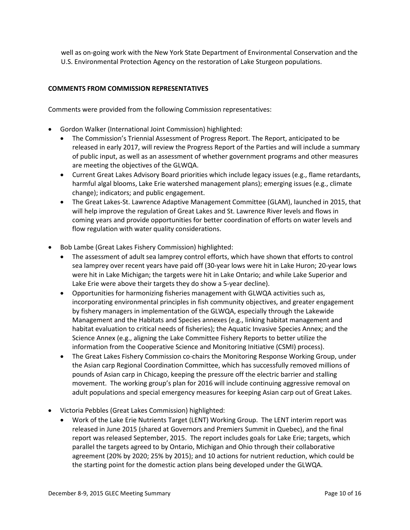well as on-going work with the New York State Department of Environmental Conservation and the U.S. Environmental Protection Agency on the restoration of Lake Sturgeon populations.

# **COMMENTS FROM COMMISSION REPRESENTATIVES**

Comments were provided from the following Commission representatives:

- Gordon Walker (International Joint Commission) highlighted:
	- The Commission's Triennial Assessment of Progress Report. The Report, anticipated to be released in early 2017, will review the Progress Report of the Parties and will include a summary of public input, as well as an assessment of whether government programs and other measures are meeting the objectives of the GLWQA.
	- Current Great Lakes Advisory Board priorities which include legacy issues (e.g., flame retardants, harmful algal blooms, Lake Erie watershed management plans); emerging issues (e.g., climate change); indicators; and public engagement.
	- The Great Lakes-St. Lawrence Adaptive Management Committee (GLAM), launched in 2015, that will help improve the regulation of Great Lakes and St. Lawrence River levels and flows in coming years and provide opportunities for better coordination of efforts on water levels and flow regulation with water quality considerations.
- Bob Lambe (Great Lakes Fishery Commission) highlighted:
	- The assessment of adult sea lamprey control efforts, which have shown that efforts to control sea lamprey over recent years have paid off (30-year lows were hit in Lake Huron; 20-year lows were hit in Lake Michigan; the targets were hit in Lake Ontario; and while Lake Superior and Lake Erie were above their targets they do show a 5-year decline).
	- Opportunities for harmonizing fisheries management with GLWQA activities such as, incorporating environmental principles in fish community objectives, and greater engagement by fishery managers in implementation of the GLWQA, especially through the Lakewide Management and the Habitats and Species annexes (e.g., linking habitat management and habitat evaluation to critical needs of fisheries); the Aquatic Invasive Species Annex; and the Science Annex (e.g., aligning the Lake Committee Fishery Reports to better utilize the information from the Cooperative Science and Monitoring Initiative (CSMI) process).
	- The Great Lakes Fishery Commission co-chairs the Monitoring Response Working Group, under the Asian carp Regional Coordination Committee, which has successfully removed millions of pounds of Asian carp in Chicago, keeping the pressure off the electric barrier and stalling movement. The working group's plan for 2016 will include continuing aggressive removal on adult populations and special emergency measures for keeping Asian carp out of Great Lakes.
- Victoria Pebbles (Great Lakes Commission) highlighted:
	- Work of the Lake Erie Nutrients Target (LENT) Working Group. The LENT interim report was released in June 2015 (shared at Governors and Premiers Summit in Quebec), and the final report was released September, 2015. The report includes goals for Lake Erie; targets, which parallel the targets agreed to by Ontario, Michigan and Ohio through their collaborative agreement (20% by 2020; 25% by 2015); and 10 actions for nutrient reduction, which could be the starting point for the domestic action plans being developed under the GLWQA.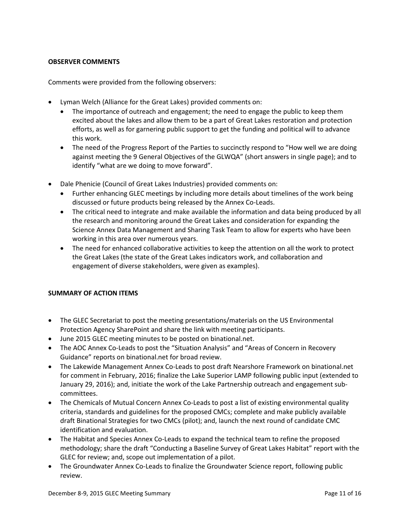# **OBSERVER COMMENTS**

Comments were provided from the following observers:

- Lyman Welch (Alliance for the Great Lakes) provided comments on:
	- The importance of outreach and engagement; the need to engage the public to keep them excited about the lakes and allow them to be a part of Great Lakes restoration and protection efforts, as well as for garnering public support to get the funding and political will to advance this work.
	- The need of the Progress Report of the Parties to succinctly respond to "How well we are doing against meeting the 9 General Objectives of the GLWQA" (short answers in single page); and to identify "what are we doing to move forward".
- Dale Phenicie (Council of Great Lakes Industries) provided comments on:
	- Further enhancing GLEC meetings by including more details about timelines of the work being discussed or future products being released by the Annex Co-Leads.
	- The critical need to integrate and make available the information and data being produced by all the research and monitoring around the Great Lakes and consideration for expanding the Science Annex Data Management and Sharing Task Team to allow for experts who have been working in this area over numerous years.
	- The need for enhanced collaborative activities to keep the attention on all the work to protect the Great Lakes (the state of the Great Lakes indicators work, and collaboration and engagement of diverse stakeholders, were given as examples).

#### **SUMMARY OF ACTION ITEMS**

- The GLEC Secretariat to post the meeting presentations/materials on the US Environmental Protection Agency SharePoint and share the link with meeting participants.
- June 2015 GLEC meeting minutes to be posted on binational.net.
- The AOC Annex Co-Leads to post the "Situation Analysis" and "Areas of Concern in Recovery Guidance" reports on binational.net for broad review.
- The Lakewide Management Annex Co-Leads to post draft Nearshore Framework on binational.net for comment in February, 2016; finalize the Lake Superior LAMP following public input (extended to January 29, 2016); and, initiate the work of the Lake Partnership outreach and engagement subcommittees.
- The Chemicals of Mutual Concern Annex Co-Leads to post a list of existing environmental quality criteria, standards and guidelines for the proposed CMCs; complete and make publicly available draft Binational Strategies for two CMCs (pilot); and, launch the next round of candidate CMC identification and evaluation.
- The Habitat and Species Annex Co-Leads to expand the technical team to refine the proposed methodology; share the draft "Conducting a Baseline Survey of Great Lakes Habitat" report with the GLEC for review; and, scope out implementation of a pilot.
- The Groundwater Annex Co-Leads to finalize the Groundwater Science report, following public review.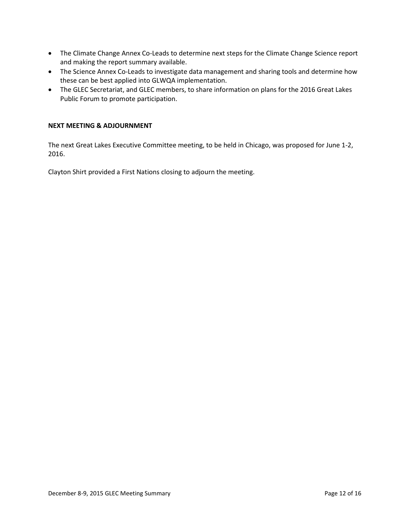- The Climate Change Annex Co-Leads to determine next steps for the Climate Change Science report and making the report summary available.
- The Science Annex Co-Leads to investigate data management and sharing tools and determine how these can be best applied into GLWQA implementation.
- The GLEC Secretariat, and GLEC members, to share information on plans for the 2016 Great Lakes Public Forum to promote participation.

## **NEXT MEETING & ADJOURNMENT**

The next Great Lakes Executive Committee meeting, to be held in Chicago, was proposed for June 1-2, 2016.

Clayton Shirt provided a First Nations closing to adjourn the meeting.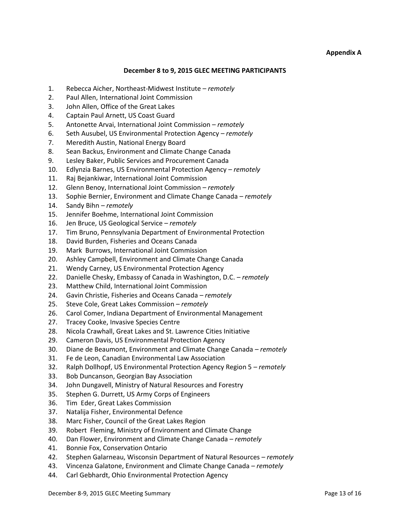## **December 8 to 9, 2015 GLEC MEETING PARTICIPANTS**

- 1. Rebecca Aicher, Northeast-Midwest Institute *– remotely*
- 2. Paul Allen, International Joint Commission
- 3. John Allen, Office of the Great Lakes
- 4. Captain Paul Arnett, US Coast Guard
- 5. Antonette Arvai, International Joint Commission *– remotely*
- 6. Seth Ausubel, US Environmental Protection Agency *– remotely*
- 7. Meredith Austin, National Energy Board
- 8. Sean Backus, Environment and Climate Change Canada
- 9. Lesley Baker, Public Services and Procurement Canada
- 10. Edlynzia Barnes, US Environmental Protection Agency *– remotely*
- 11. Raj Bejankiwar, International Joint Commission
- 12. Glenn Benoy, International Joint Commission *– remotely*
- 13. Sophie Bernier, Environment and Climate Change Canada *– remotely*
- 14. Sandy Bihn *– remotely*
- 15. Jennifer Boehme, International Joint Commission
- 16. Jen Bruce, US Geological Service *– remotely*
- 17. Tim Bruno, Pennsylvania Department of Environmental Protection
- 18. David Burden, Fisheries and Oceans Canada
- 19. Mark Burrows, International Joint Commission
- 20. Ashley Campbell, Environment and Climate Change Canada
- 21. Wendy Carney, US Environmental Protection Agency
- 22. Danielle Chesky, Embassy of Canada in Washington, D.C. *– remotely*
- 23. Matthew Child, International Joint Commission
- 24. Gavin Christie, Fisheries and Oceans Canada *– remotely*
- 25. Steve Cole, Great Lakes Commission *– remotely*
- 26. Carol Comer, Indiana Department of Environmental Management
- 27. Tracey Cooke, Invasive Species Centre
- 28. Nicola Crawhall, Great Lakes and St. Lawrence Cities Initiative
- 29. Cameron Davis, US Environmental Protection Agency
- 30. Diane de Beaumont, Environment and Climate Change Canada *– remotely*
- 31. Fe de Leon, Canadian Environmental Law Association
- 32. Ralph Dollhopf, US Environmental Protection Agency Region 5 *– remotely*
- 33. Bob Duncanson, Georgian Bay Association
- 34. John Dungavell, Ministry of Natural Resources and Forestry
- 35. Stephen G. Durrett, US Army Corps of Engineers
- 36. Tim Eder, Great Lakes Commission
- 37. Natalija Fisher, Environmental Defence
- 38. Marc Fisher, Council of the Great Lakes Region
- 39. Robert Fleming, Ministry of Environment and Climate Change
- 40. Dan Flower, Environment and Climate Change Canada *– remotely*
- 41. Bonnie Fox, Conservation Ontario
- 42. Stephen Galarneau, Wisconsin Department of Natural Resources *– remotely*
- 43. Vincenza Galatone, Environment and Climate Change Canada *– remotely*
- 44. Carl Gebhardt, Ohio Environmental Protection Agency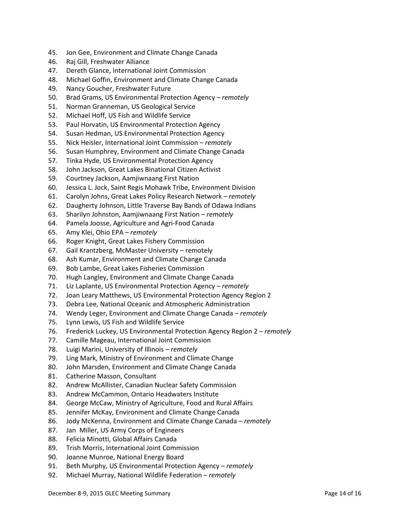- 45. Jon Gee, Environment and Climate Change Canada
- 46. Raj Gill, Freshwater Alliance
- 47. Dereth Glance, International Joint Commission
- 48. Michael Goffin, Environment and Climate Change Canada
- 49. Nancy Goucher, Freshwater Future
- 50. Brad Grams, US Environmental Protection Agency *– remotely*
- 51. Norman Granneman, US Geological Service
- 52. Michael Hoff, US Fish and Wildlife Service
- 53. Paul Horvatin, US Environmental Protection Agency
- 54. Susan Hedman, US Environmental Protection Agency
- 55. Nick Heisler, International Joint Commission *– remotely*
- 56. Susan Humphrey, Environment and Climate Change Canada
- 57. Tinka Hyde, US Environmental Protection Agency
- 58. John Jackson, Great Lakes Binational Citizen Activist
- 59. Courtney Jackson, Aamjiwnaang First Nation
- 60. Jessica L. Jock, Saint Regis Mohawk Tribe, Environment Division
- 61. Carolyn Johns, Great Lakes Policy Research Network *– remotely*
- 62. Daugherty Johnson, Little Traverse Bay Bands of Odawa Indians
- 63. Sharilyn Johnston, Aamjiwnaang First Nation *– remotely*
- 64. Pamela Joosse, Agriculture and Agri-Food Canada
- 65. Amy Klei, Ohio EPA *– remotely*
- 66. Roger Knight, Great Lakes Fishery Commission
- 67. Gail Krantzberg, McMaster University remotely
- 68. Ash Kumar, Environment and Climate Change Canada
- 69. Bob Lambe, Great Lakes Fisheries Commission
- 70. Hugh Langley, Environment and Climate Change Canada
- 71. Liz Laplante, US Environmental Protection Agency *– remotely*
- 72. Joan Leary Matthews, US Environmental Protection Agency Region 2
- 73. Debra Lee, National Oceanic and Atmospheric Administration
- 74. Wendy Leger, Environment and Climate Change Canada *– remotely*
- 75. Lynn Lewis, US Fish and Wildlife Service
- 76. Frederick Luckey, US Environmental Protection Agency Region 2 *– remotely*
- 77. Camille Mageau, International Joint Commission
- 78. Luigi Marini, University of Illinois *– remotely*
- 79. Ling Mark, Ministry of Environment and Climate Change
- 80. John Marsden, Environment and Climate Change Canada
- 81. Catherine Masson, Consultant
- 82. Andrew McAllister, Canadian Nuclear Safety Commission
- 83. Andrew McCammon, Ontario Headwaters Institute
- 84. George McCaw, Ministry of Agriculture, Food and Rural Affairs
- 85. Jennifer McKay, Environment and Climate Change Canada
- 86. Jody McKenna, Environment and Climate Change Canada *– remotely*
- 87. Jan Miller, US Army Corps of Engineers
- 88. Felicia Minotti, Global Affairs Canada
- 89. Trish Morris, International Joint Commission
- 90. Joanne Munroe, National Energy Board
- 91. Beth Murphy, US Environmental Protection Agency *– remotely*
- 92. Michael Murray, National Wildlife Federation *– remotely*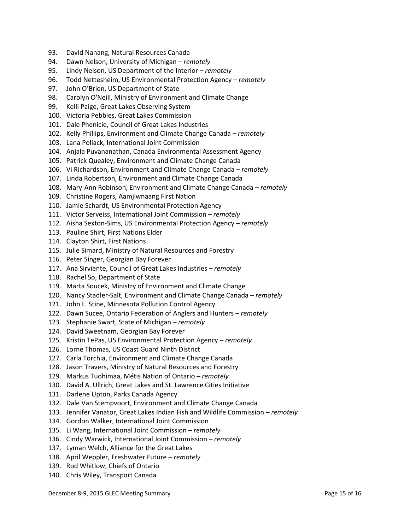- 93. David Nanang, Natural Resources Canada
- 94. Dawn Nelson, University of Michigan *– remotely*
- 95. Lindy Nelson, US Department of the Interior *– remotely*
- 96. Todd Nettesheim, US Environmental Protection Agency *– remotely*
- 97. John O'Brien, US Department of State
- 98. Carolyn O'Neill, Ministry of Environment and Climate Change
- 99. Kelli Paige, Great Lakes Observing System
- 100. Victoria Pebbles, Great Lakes Commission
- 101. Dale Phenicie, Council of Great Lakes Industries
- 102. Kelly Phillips, Environment and Climate Change Canada *– remotely*
- 103. Lana Pollack, International Joint Commission
- 104. Anjala Puvananathan, Canada Environmental Assessment Agency
- 105. Patrick Quealey, Environment and Climate Change Canada
- 106. Vi Richardson, Environment and Climate Change Canada *– remotely*
- 107. Linda Robertson, Environment and Climate Change Canada
- 108. Mary-Ann Robinson, Environment and Climate Change Canada *– remotely*
- 109. Christine Rogers, Aamjiwnaang First Nation
- 110. Jamie Schardt, US Environmental Protection Agency
- 111. Victor Serveiss, International Joint Commission *– remotely*
- 112. Aisha Sexton-Sims, US Environmental Protection Agency *– remotely*
- 113. Pauline Shirt, First Nations Elder
- 114. Clayton Shirt, First Nations
- 115. Julie Simard, Ministry of Natural Resources and Forestry
- 116. Peter Singer, Georgian Bay Forever
- 117. Ana Sirviente, Council of Great Lakes Industries *– remotely*
- 118. Rachel So, Department of State
- 119. Marta Soucek, Ministry of Environment and Climate Change
- 120. Nancy Stadler-Salt, Environment and Climate Change Canada *– remotely*
- 121. John L. Stine, Minnesota Pollution Control Agency
- 122. Dawn Sucee, Ontario Federation of Anglers and Hunters *– remotely*
- 123. Stephanie Swart, State of Michigan *– remotely*
- 124. David Sweetnam, Georgian Bay Forever
- 125. Kristin TePas, US Environmental Protection Agency *– remotely*
- 126. Lorne Thomas, US Coast Guard Ninth District
- 127. Carla Torchia, Environment and Climate Change Canada
- 128. Jason Travers, Ministry of Natural Resources and Forestry
- 129. Markus Tuohimaa, Métis Nation of Ontario *– remotely*
- 130. David A. Ullrich, Great Lakes and St. Lawrence Cities Initiative
- 131. Darlene Upton, Parks Canada Agency
- 132. Dale Van Stempvoort, Environment and Climate Change Canada
- 133. Jennifer Vanator, Great Lakes Indian Fish and Wildlife Commission *– remotely*
- 134. Gordon Walker, International Joint Commission
- 135. Li Wang, International Joint Commission *– remotely*
- 136. Cindy Warwick, International Joint Commission *– remotely*
- 137. Lyman Welch, Alliance for the Great Lakes
- 138. April Weppler, Freshwater Future *– remotely*
- 139. Rod Whitlow, Chiefs of Ontario
- 140. Chris Wiley, Transport Canada